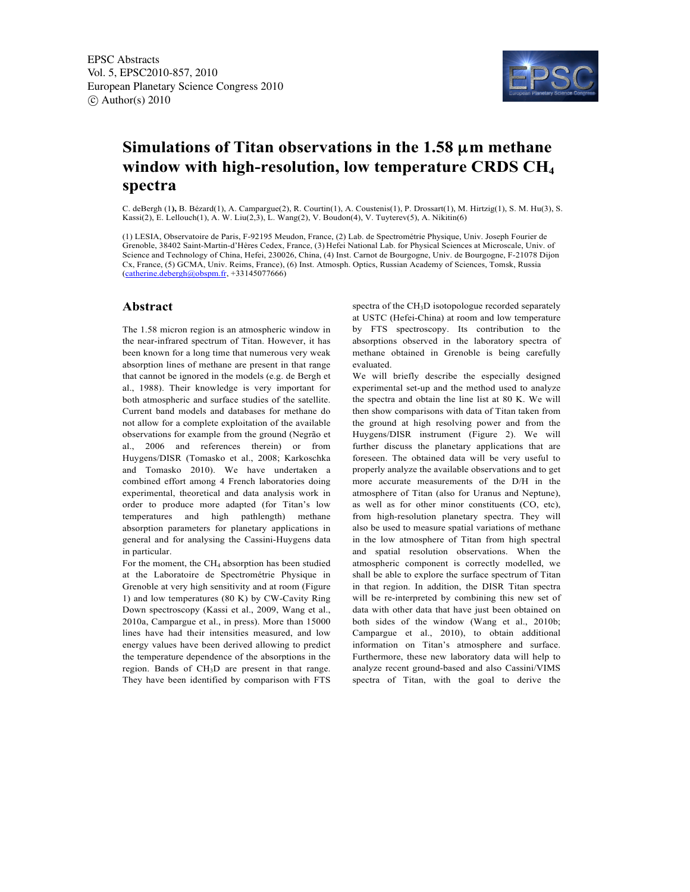

## **Simulations of Titan observations in the 1.58** µ**m methane window with high-resolution, low temperature CRDS CH4 spectra**

C. deBergh (1**),** B. Bézard(1), A. Campargue(2), R. Courtin(1), A. Coustenis(1), P. Drossart(1), M. Hirtzig(1), S. M. Hu(3), S. Kassi(2), E. Lellouch(1), A. W. Liu(2,3), L. Wang(2), V. Boudon(4), V. Tuyterev(5), A. Nikitin(6)

(1) LESIA, Observatoire de Paris, F-92195 Meudon, France, (2) Lab. de Spectrométrie Physique, Univ. Joseph Fourier de Grenoble, 38402 Saint-Martin-d'Hères Cedex, France, (3) Hefei National Lab. for Physical Sciences at Microscale, Univ. of Science and Technology of China, Hefei, 230026, China, (4) Inst. Carnot de Bourgogne, Univ. de Bourgogne, F-21078 Dijon Cx, France, (5) GCMA, Univ. Reims, France), (6) Inst. Atmosph. Optics, Russian Academy of Sciences, Tomsk, Russia  $(catherine.debergh@obspm.fr, +33145077666)$ 

## **Abstract**

The 1.58 micron region is an atmospheric window in the near-infrared spectrum of Titan. However, it has been known for a long time that numerous very weak absorption lines of methane are present in that range that cannot be ignored in the models (e.g. de Bergh et al., 1988). Their knowledge is very important for both atmospheric and surface studies of the satellite. Current band models and databases for methane do not allow for a complete exploitation of the available observations for example from the ground (Negrão et al., 2006 and references therein) or from Huygens/DISR (Tomasko et al., 2008; Karkoschka and Tomasko 2010). We have undertaken a combined effort among 4 French laboratories doing experimental, theoretical and data analysis work in order to produce more adapted (for Titan's low temperatures and high pathlength) methane absorption parameters for planetary applications in general and for analysing the Cassini-Huygens data in particular.

For the moment, the  $CH_4$  absorption has been studied at the Laboratoire de Spectrométrie Physique in Grenoble at very high sensitivity and at room (Figure 1) and low temperatures (80 K) by CW-Cavity Ring Down spectroscopy (Kassi et al., 2009, Wang et al., 2010a, Campargue et al., in press). More than 15000 lines have had their intensities measured, and low energy values have been derived allowing to predict the temperature dependence of the absorptions in the region. Bands of CH3D are present in that range. They have been identified by comparison with FTS spectra of the CH<sub>3</sub>D isotopologue recorded separately at USTC (Hefei-China) at room and low temperature by FTS spectroscopy. Its contribution to the absorptions observed in the laboratory spectra of methane obtained in Grenoble is being carefully evaluated.

We will briefly describe the especially designed experimental set-up and the method used to analyze the spectra and obtain the line list at 80 K. We will then show comparisons with data of Titan taken from the ground at high resolving power and from the Huygens/DISR instrument (Figure 2). We will further discuss the planetary applications that are foreseen. The obtained data will be very useful to properly analyze the available observations and to get more accurate measurements of the D/H in the atmosphere of Titan (also for Uranus and Neptune), as well as for other minor constituents (CO, etc), from high-resolution planetary spectra. They will also be used to measure spatial variations of methane in the low atmosphere of Titan from high spectral and spatial resolution observations. When the atmospheric component is correctly modelled, we shall be able to explore the surface spectrum of Titan in that region. In addition, the DISR Titan spectra will be re-interpreted by combining this new set of data with other data that have just been obtained on both sides of the window (Wang et al., 2010b; Campargue et al., 2010), to obtain additional information on Titan's atmosphere and surface. Furthermore, these new laboratory data will help to analyze recent ground-based and also Cassini/VIMS spectra of Titan, with the goal to derive the